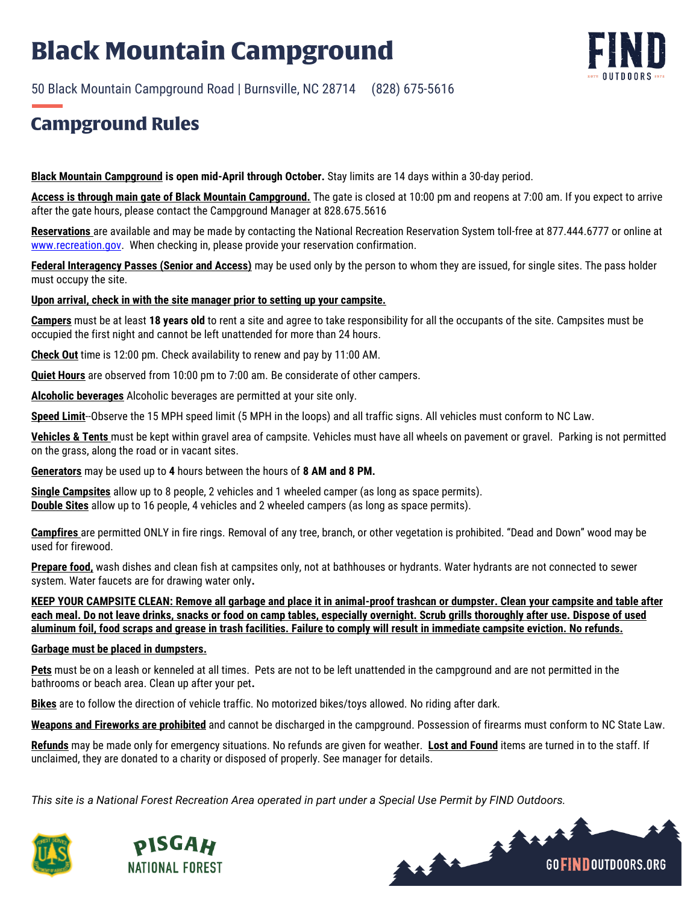# **Black Mountain Campground**

50 Black Mountain Campground Road | Burnsville, NC 28714 (828) 675-5616

### **Campground Rules**

**Black Mountain Campground is open mid-April through October.** Stay limits are 14 days within a 30-day period.

**Access is through main gate of Black Mountain Campground.** The gate is closed at 10:00 pm and reopens at 7:00 am. If you expect to arrive after the gate hours, please contact the Campground Manager at 828.675.5616

**Reservations** are available and may be made by contacting the National Recreation Reservation System toll-free at 877.444.6777 or online at [www.recreation.gov.](http://www.recreation.gov/) When checking in, please provide your reservation confirmation.

**Federal Interagency Passes (Senior and Access)** may be used only by the person to whom they are issued, for single sites. The pass holder must occupy the site.

### **Upon arrival, check in with the site manager prior to setting up your campsite.**

**Campers** must be at least **18 years old** to rent a site and agree to take responsibility for all the occupants of the site. Campsites must be occupied the first night and cannot be left unattended for more than 24 hours.

**Check Out** time is 12:00 pm. Check availability to renew and pay by 11:00 AM.

**Quiet Hours** are observed from 10:00 pm to 7:00 am. Be considerate of other campers.

**Alcoholic beverages** Alcoholic beverages are permitted at your site only.

**Speed Limit**--Observe the 15 MPH speed limit (5 MPH in the loops) and all traffic signs. All vehicles must conform to NC Law.

**Vehicles & Tents** must be kept within gravel area of campsite. Vehicles must have all wheels on pavement or gravel. Parking is not permitted on the grass, along the road or in vacant sites.

**Generators** may be used up to **4** hours between the hours of **8 AM and 8 PM.**

**Single Campsites** allow up to 8 people, 2 vehicles and 1 wheeled camper (as long as space permits). **Double Sites** allow up to 16 people, 4 vehicles and 2 wheeled campers (as long as space permits).

**Campfires** are permitted ONLY in fire rings. Removal of any tree, branch, or other vegetation is prohibited. "Dead and Down" wood may be used for firewood.

**Prepare food,** wash dishes and clean fish at campsites only, not at bathhouses or hydrants. Water hydrants are not connected to sewer system. Water faucets are for drawing water only**.**

**KEEP YOUR CAMPSITE CLEAN: Remove all garbage and place it in animal-proof trashcan or dumpster. Clean your campsite and table after each meal. Do not leave drinks, snacks or food on camp tables, especially overnight. Scrub grills thoroughly after use. Dispose of used aluminum foil, food scraps and grease in trash facilities. Failure to comply will result in immediate campsite eviction. No refunds.**

#### **Garbage must be placed in dumpsters.**

**Pets** must be on a leash or kenneled at all times. Pets are not to be left unattended in the campground and are not permitted in the bathrooms or beach area. Clean up after your pet**.**

**Bikes** are to follow the direction of vehicle traffic. No motorized bikes/toys allowed. No riding after dark.

**Weapons and Fireworks are prohibited** and cannot be discharged in the campground. Possession of firearms must conform to NC State Law.

**Refunds** may be made only for emergency situations. No refunds are given for weather. **Lost and Found** items are turned in to the staff. If unclaimed, they are donated to a charity or disposed of properly. See manager for details.

*This site is a National Forest Recreation Area operated in part under a Special Use Permit by FIND Outdoors.*